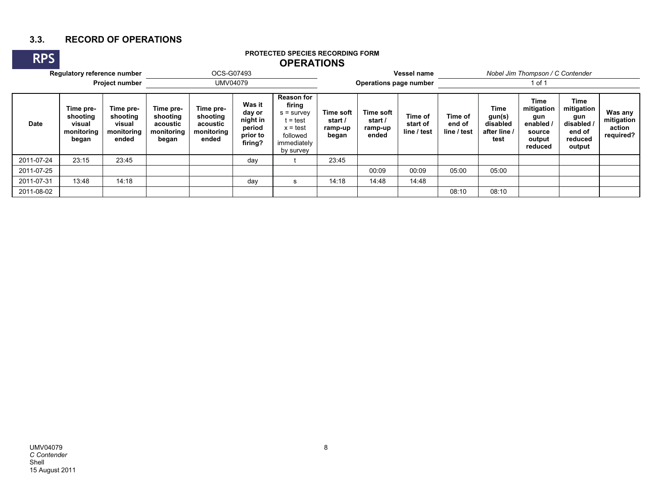## **3.3. RECORD OF OPERATIONS**

## **RPS PROTECTED SPECIES RECORDING FORM OPERATIONSRegulatory reference number** OCS-G07493 **Vessel name** *Nobel Jim Thompson / C Contender* **Project number DIMV04079 Operations page number Operations page number**1 of 1 **DateTime preshooting visual monitoring began Time preshooting visual monitoring endedTime preshooting acoustic monitoring began Time preshooting acoustic monitoring endedWas it day or night in period prior to firing? Reason for firing**  $s = \text{survey}$  $t = test$  x = test followed immediately by survey **Time soft start / ramp-up began Time soft start / ramp-up ended Time of start of line / test Time of end of line / testTime gun(s) disabled after line / testTime mitigation gun enabled / source output reducedTime mitigation gun disabled / end of reduced output Was any mitigation action required?** 2011-07-24 | 23:15 | 23:45 | | day | t | 23:45 2011-07-25 00:09 00:09 05:00 05:00 2011-07-31 | 13:48 | 14:18 | | day | s | 14:18 | 14:48 | 14:48 2011-08-0208:10 08:10